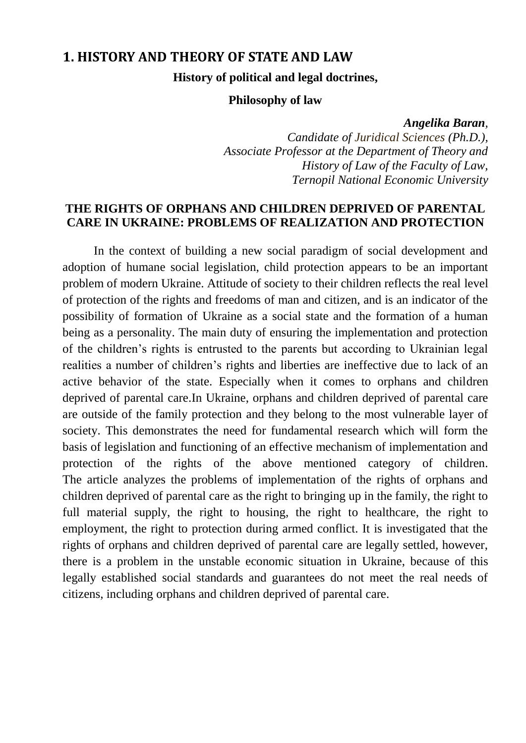# **1. HISTORY AND THEORY OF STATE AND LAW**

**History of political and legal doctrines,**

#### **Philosophy of law**

#### *Angelika Baran,*

*Candidate of Juridical Sciences (Ph.D.), Associate Professor at the Department of Theory and History of Law of the Faculty of Law, Ternopil National Economic University*

# **THE RIGHTS OF ORPHANS AND CHILDREN DEPRIVED OF PARENTAL CARE IN UKRAINE: PROBLEMS OF REALIZATION AND PROTECTION**

In the context of building a new social paradigm of social development and adoption of humane social legislation, child protection appears to be an important problem of modern Ukraine. Attitude of society to their children reflects the real level of protection of the rights and freedoms of man and citizen, and is an indicator of the possibility of formation of Ukraine as a social state and the formation of a human being as a personality. The main duty of ensuring the implementation and protection of the children"s rights is entrusted to the parents but according to Ukrainian legal realities a number of children"s rights and liberties are ineffective due to lack of an active behavior of the state. Especially when it comes to orphans and children deprived of parental care.In Ukraine, orphans and children deprived of parental care are outside of the family protection and they belong to the most vulnerable layer of society. This demonstrates the need for fundamental research which will form the basis of legislation and functioning of an effective mechanism of implementation and protection of the rights of the above mentioned category of children. The article analyzes the problems of implementation of the rights of orphans and children deprived of parental care as the right to bringing up in the family, the right to full material supply, the right to housing, the right to healthcare, the right to employment, the right to protection during armed conflict. It is investigated that the rights of orphans and children deprived of parental care are legally settled, however, there is a problem in the unstable economic situation in Ukraine, because of this legally established social standards and guarantees do not meet the real needs of citizens, including orphans and children deprived of parental care.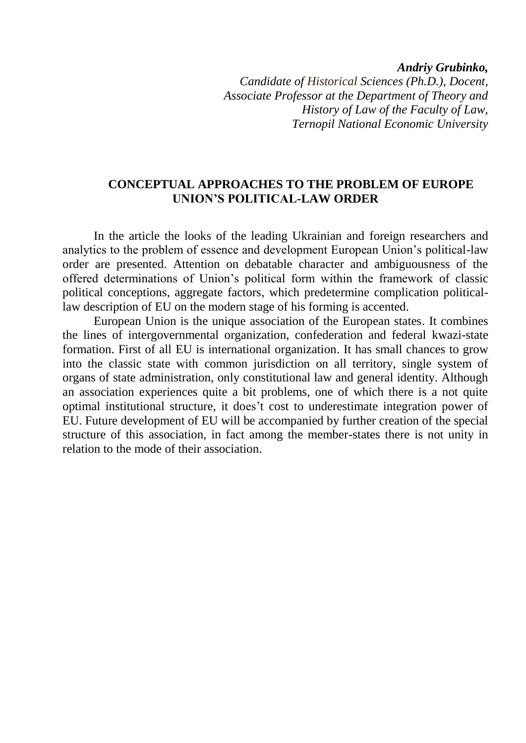*Andriy Grubinko,*

*Candidate of Historical Sciences (Ph.D.), Docent, Associate Professor at the Department of Theory and History of Law of the Faculty of Law, Ternopil National Economic University*

## **CONCEPTUAL APPROACHES TO THE PROBLEM OF EUROPE UNION'S POLITICAL-LAW ORDER**

In the article the looks of the leading Ukrainian and foreign researchers and analytics to the problem of essence and development European Union"s political-law order are presented. Attention on debatable character and ambiguousness of the offered determinations of Union"s political form within the framework of classic political conceptions, aggregate factors, which predetermine complication politicallaw description of EU on the modern stage of his forming is accented.

European Union is the unique association of the European states. It combines the lines of intergovernmental organization, confederation and federal kwazi-state formation. First of all EU is international organization. It has small chances to grow into the classic state with common jurisdiction on all territory, single system of organs of state administration, only constitutional law and general identity. Although an association experiences quite a bit problems, one of which there is a not quite optimal institutional structure, it does"t cost to underestimate integration power of EU. Future development of EU will be accompanied by further creation of the special structure of this association, in fact among the member-states there is not unity in relation to the mode of their association.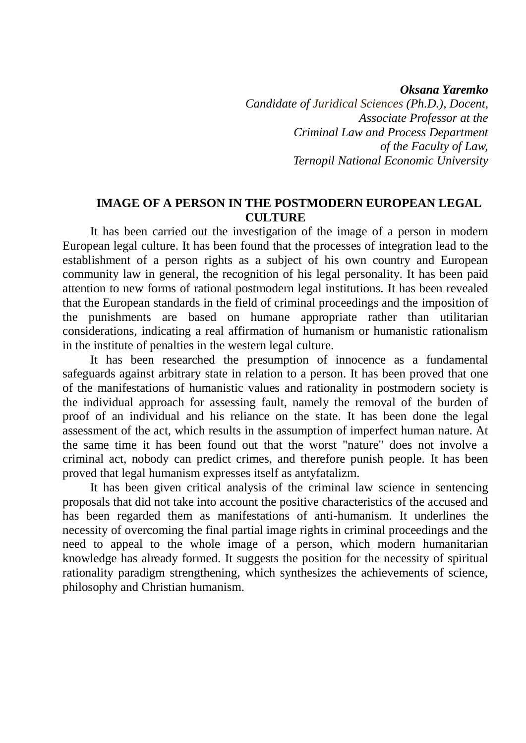*Oksana Yaremko*

*Candidate of Juridical Sciences (Ph.D.), Docent, Associate Professor at the Criminal Law and Process Department of the Faculty of Law, Ternopil National Economic University*

## **IMAGE OF A PERSON IN THE POSTMODERN EUROPEAN LEGAL CULTURE**

It has been carried out the investigation of the image of a person in modern European legal culture. It has been found that the processes of integration lead to the establishment of a person rights as a subject of his own country and European community law in general, the recognition of his legal personality. It has been paid attention to new forms of rational postmodern legal institutions. It has been revealed that the European standards in the field of criminal proceedings and the imposition of the punishments are based on humane appropriate rather than utilitarian considerations, indicating a real affirmation of humanism or humanistic rationalism in the institute of penalties in the western legal culture.

It has been researched the presumption of innocence as a fundamental safeguards against arbitrary state in relation to a person. It has been proved that one of the manifestations of humanistic values and rationality in postmodern society is the individual approach for assessing fault, namely the removal of the burden of proof of an individual and his reliance on the state. It has been done the legal assessment of the act, which results in the assumption of imperfect human nature. At the same time it has been found out that the worst "nature" does not involve a criminal act, nobody can predict crimes, and therefore punish people. It has been proved that legal humanism expresses itself as antyfatalizm.

It has been given critical analysis of the criminal law science in sentencing proposals that did not take into account the positive characteristics of the accused and has been regarded them as manifestations of anti-humanism. It underlines the necessity of overcoming the final partial image rights in criminal proceedings and the need to appeal to the whole image of a person, which modern humanitarian knowledge has already formed. It suggests the position for the necessity of spiritual rationality paradigm strengthening, which synthesizes the achievements of science, philosophy and Christian humanism.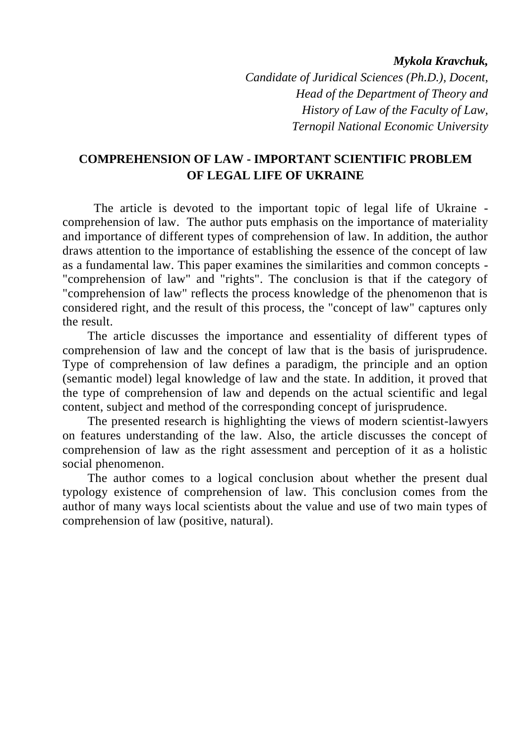*Mykola Kravchuk,* 

*Candidate of Juridical Sciences (Ph.D.), Docent, Head of the Department of Theory and History of Law of the Faculty of Law, Ternopil National Economic University*

# **COMPREHENSION OF LAW - IMPORTANT SCIENTIFIC PROBLEM OF LEGAL LIFE OF UKRAINE**

The article is devoted to the important topic of legal life of Ukraine comprehension of law. The author puts emphasis on the importance of materiality and importance of different types of comprehension of law. In addition, the author draws attention to the importance of establishing the essence of the concept of law as a fundamental law. This paper examines the similarities and common concepts - "comprehension of law" and "rights". The conclusion is that if the category of "comprehension of law" reflects the process knowledge of the phenomenon that is considered right, and the result of this process, the "concept of law" captures only the result.

The article discusses the importance and essentiality of different types of comprehension of law and the concept of law that is the basis of jurisprudence. Type of comprehension of law defines a paradigm, the principle and an option (semantic model) legal knowledge of law and the state. In addition, it proved that the type of comprehension of law and depends on the actual scientific and legal content, subject and method of the corresponding concept of jurisprudence.

The presented research is highlighting the views of modern scientist-lawyers on features understanding of the law. Also, the article discusses the concept of comprehension of law as the right assessment and perception of it as a holistic social phenomenon.

The author comes to a logical conclusion about whether the present dual typology existence of comprehension of law. This conclusion comes from the author of many ways local scientists about the value and use of two main types of comprehension of law (positive, natural).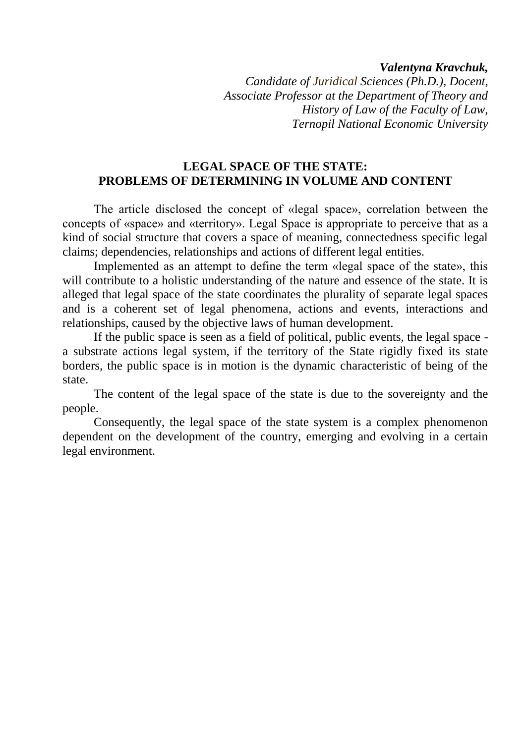#### *Valentyna Kravchuk,*

*Candidate of Juridical Sciences (Ph.D.), Docent, Associate Professor at the Department of Theory and History of Law of the Faculty of Law, Ternopil National Economic University*

## **LEGAL SPACE OF THE STATE: PROBLEMS OF DETERMINING IN VOLUME AND CONTENT**

The article disclosed the concept of «legal space», correlation between the concepts of «space» and «territory». Legal Space is appropriate to perceive that as a kind of social structure that covers a space of meaning, connectedness specific legal claims; dependencies, relationships and actions of different legal entities.

Implemented as an attempt to define the term «legal space of the state», this will contribute to a holistic understanding of the nature and essence of the state. It is alleged that legal space of the state coordinates the plurality of separate legal spaces and is a coherent set of legal phenomena, actions and events, interactions and relationships, caused by the objective laws of human development.

If the public space is seen as a field of political, public events, the legal space a substrate actions legal system, if the territory of the State rigidly fixed its state borders, the public space is in motion is the dynamic characteristic of being of the state.

The content of the legal space of the state is due to the sovereignty and the people.

Consequently, the legal space of the state system is a complex phenomenon dependent on the development of the country, emerging and evolving in a certain legal environment.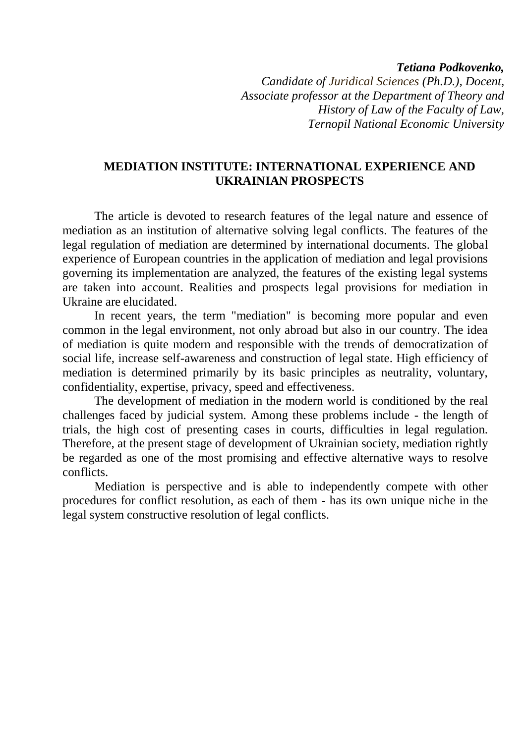*Tetiana Podkovenko,*

*Candidate of Juridical Sciences (Ph.D.), Docent, Associate professor at the Department of Theory and History of Law of the Faculty of Law, Ternopil National Economic University*

## **MEDIATION INSTITUTE: INTERNATIONAL EXPERIENCE AND UKRAINIAN PROSPECTS**

The article is devoted to research features of the legal nature and essence of mediation as an institution of alternative solving legal conflicts. The features of the legal regulation of mediation are determined by international documents. The global experience of European countries in the application of mediation and legal provisions governing its implementation are analyzed, the features of the existing legal systems are taken into account. Realities and prospects legal provisions for mediation in Ukraine are elucidated.

In recent years, the term "mediation" is becoming more popular and even common in the legal environment, not only abroad but also in our country. The idea of mediation is quite modern and responsible with the trends of democratization of social life, increase self-awareness and construction of legal state. High efficiency of mediation is determined primarily by its basic principles as neutrality, voluntary, confidentiality, expertise, privacy, speed and effectiveness.

The development of mediation in the modern world is conditioned by the real challenges faced by judicial system. Among these problems include - the length of trials, the high cost of presenting cases in courts, difficulties in legal regulation. Therefore, at the present stage of development of Ukrainian society, mediation rightly be regarded as one of the most promising and effective alternative ways to resolve conflicts.

Mediation is perspective and is able to independently compete with other procedures for conflict resolution, as each of them - has its own unique niche in the legal system constructive resolution of legal conflicts.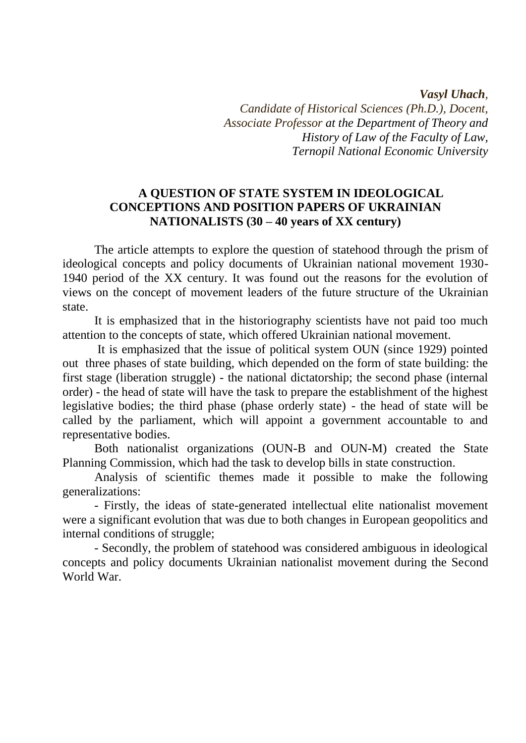#### *Vasyl Uhach,*

*Candidate of Historical Sciences (Ph.D.), Docent, Associate Professor at the Department of Theory and History of Law of the Faculty of Law, Ternopil National Economic University*

# **A QUESTION OF STATE SYSTEM IN IDEOLOGICAL CONCEPTIONS AND POSITION PAPERS OF UKRAINIAN NATIONALISTS (30 – 40 years of XX century)**

The article attempts to explore the question of statehood through the prism of ideological concepts and policy documents of Ukrainian national movement 1930- 1940 period of the XX century. It was found out the reasons for the evolution of views on the concept of movement leaders of the future structure of the Ukrainian state.

It is emphasized that in the historiography scientists have not paid too much attention to the concepts of state, which offered Ukrainian national movement.

It is emphasized that the issue of political system OUN (since 1929) pointed out three phases of state building, which depended on the form of state building: the first stage (liberation struggle) - the national dictatorship; the second phase (internal order) - the head of state will have the task to prepare the establishment of the highest legislative bodies; the third phase (phase orderly state) - the head of state will be called by the parliament, which will appoint a government accountable to and representative bodies.

Both nationalist organizations (OUN-B and OUN-M) created the State Planning Commission, which had the task to develop bills in state construction.

Analysis of scientific themes made it possible to make the following generalizations:

- Firstly, the ideas of state-generated intellectual elite nationalist movement were a significant evolution that was due to both changes in European geopolitics and internal conditions of struggle;

- Secondly, the problem of statehood was considered ambiguous in ideological concepts and policy documents Ukrainian nationalist movement during the Second World War.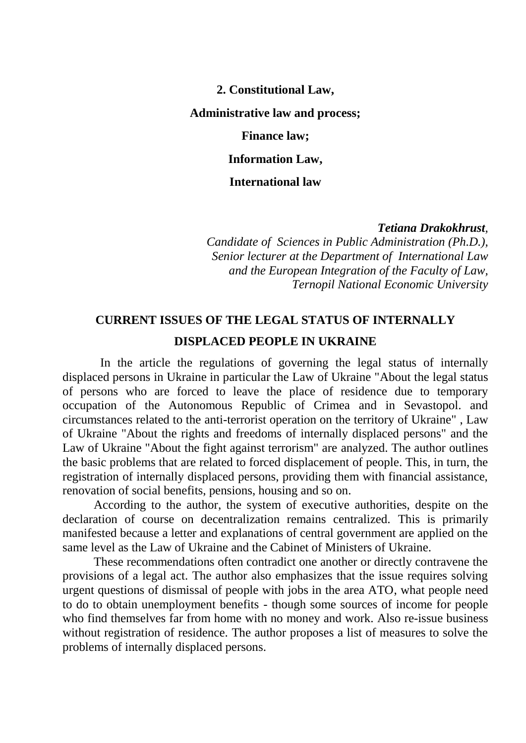**2. Constitutional Law,**

#### **Administrative law and process;**

**Finance law;**

**Information Law,**

**International law**

#### *Tetiana Drakokhrust,*

*Candidate of Sciences in Public Administration (Ph.D.), Senior lecturer at the Department of International Law and the European Integration of the Faculty of Law, Ternopil National Economic University*

# **CURRENT ISSUES OF THE LEGAL STATUS OF INTERNALLY DISPLACED PEOPLE IN UKRAINE**

In the article the regulations of governing the legal status of internally displaced persons in Ukraine in particular the Law of Ukraine "About the legal status of persons who are forced to leave the place of residence due to temporary occupation of the Autonomous Republic of Crimea and in Sevastopol. and circumstances related to the anti-terrorist operation on the territory of Ukraine" , Law of Ukraine "About the rights and freedoms of internally displaced persons" and the Law of Ukraine "About the fight against terrorism" are analyzed. The author outlines the basic problems that are related to forced displacement of people. This, in turn, the registration of internally displaced persons, providing them with financial assistance, renovation of social benefits, pensions, housing and so on.

According to the author, the system of executive authorities, despite on the declaration of course on decentralization remains centralized. This is primarily manifested because a letter and explanations of central government are applied on the same level as the Law of Ukraine and the Cabinet of Ministers of Ukraine.

These recommendations often contradict one another or directly contravene the provisions of a legal act. The author also emphasizes that the issue requires solving urgent questions of dismissal of people with jobs in the area ATO, what people need to do to obtain unemployment benefits - though some sources of income for people who find themselves far from home with no money and work. Also re-issue business without registration of residence. The author proposes a list of measures to solve the problems of internally displaced persons.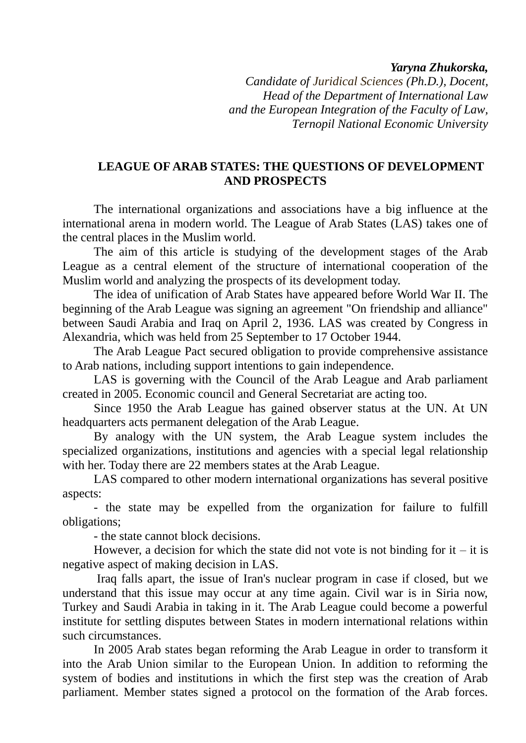*Yaryna Zhukorska,*

*Candidate of Juridical Sciences (Ph.D.), Docent, Head of the Department of International Law and the European Integration of the Faculty of Law, Ternopil National Economic University*

# **LEAGUE OF ARAB STATES: THE QUESTIONS OF DEVELOPMENT AND PROSPECTS**

The international organizations and associations have a big influence at the international arena in modern world. The League of Arab States (LAS) takes one of the central places in the Muslim world.

The aim of this article is studying of the development stages of the Arab League as a central element of the structure of international cooperation of the Muslim world and analyzing the prospects of its development today.

The idea of unification of Arab States have appeared before World War II. The beginning of the Arab League was signing an agreement "On friendship and alliance" between Saudi Arabia and Iraq on April 2, 1936. LAS was created by Congress in Alexandria, which was held from 25 September to 17 October 1944.

The Arab League Pact secured obligation to provide comprehensive assistance to Arab nations, including support intentions to gain independence.

LAS is governing with the Council of the Arab League and Arab parliament created in 2005. Economic council and General Secretariat are acting too.

Since 1950 the Arab League has gained observer status at the UN. At UN headquarters acts permanent delegation of the Arab League.

By analogy with the UN system, the Arab League system includes the specialized organizations, institutions and agencies with a special legal relationship with her. Today there are 22 members states at the Arab League.

LAS compared to other modern international organizations has several positive aspects:

- the state may be expelled from the organization for failure to fulfill obligations;

- the state cannot block decisions.

However, a decision for which the state did not vote is not binding for it – it is negative aspect of making decision in LAS.

Iraq falls apart, the issue of Iran's nuclear program in case if closed, but we understand that this issue may occur at any time again. Civil war is in Siria now, Turkey and Saudi Arabia in taking in it. The Arab League could become a powerful institute for settling disputes between States in modern international relations within such circumstances.

In 2005 Arab states began reforming the Arab League in order to transform it into the Arab Union similar to the European Union. In addition to reforming the system of bodies and institutions in which the first step was the creation of Arab parliament. Member states signed a protocol on the formation of the Arab forces.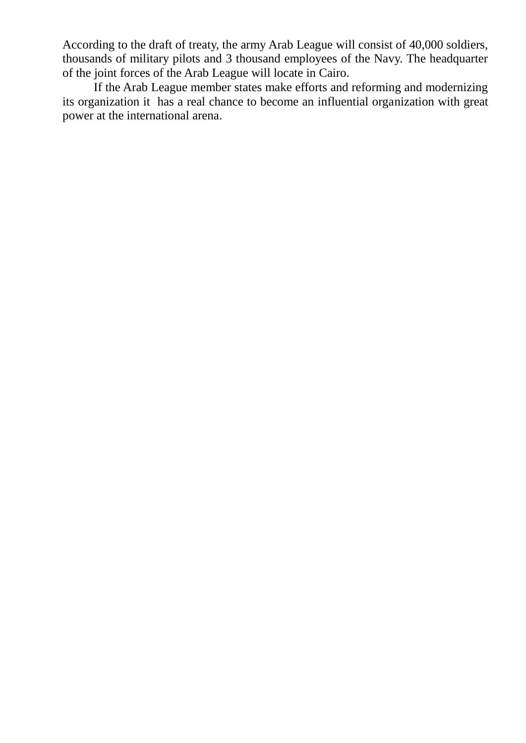According to the draft of treaty, the army Arab League will consist of 40,000 soldiers, thousands of military pilots and 3 thousand employees of the Navy. The headquarter of the joint forces of the Arab League will locate in Cairo.

If the Arab League member states make efforts and reforming and modernizing its organization it has a real chance to become an influential organization with great power at the international arena.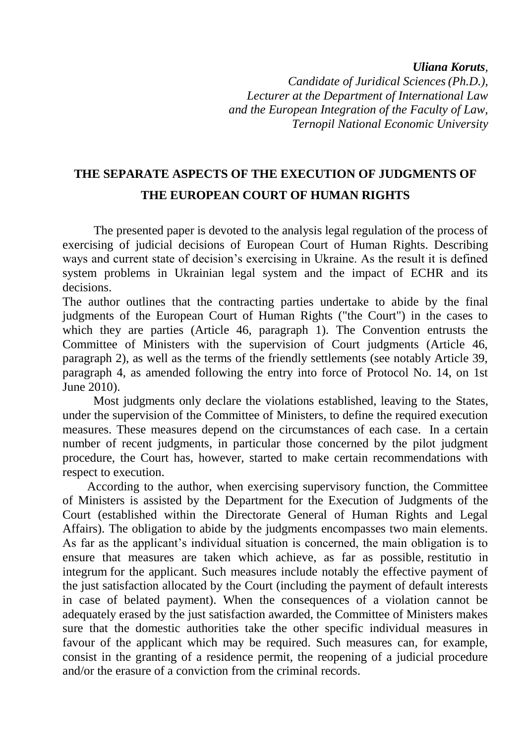## *Uliana Koruts,*

*Candidate of Juridical Sciences(Ph.D.), Lecturer at the Department of International Law and the European Integration of the Faculty of Law, Ternopil National Economic University*

# **THE SEPARATE ASPECTS OF THE EXECUTION OF JUDGMENTS OF THE EUROPEAN COURT OF HUMAN RIGHTS**

The presented paper is devoted to the analysis legal regulation of the process of exercising of judicial decisions of European Court of Human Rights. Describing ways and current state of decision's exercising in Ukraine. As the result it is defined system problems in Ukrainian legal system and the impact of ECHR and its decisions.

The author outlines that the contracting parties undertake to abide by the final judgments of the European Court of Human Rights ("the Court") in the cases to which they are parties (Article 46, paragraph 1). The Convention entrusts the Committee of Ministers with the supervision of Court judgments (Article 46, paragraph 2), as well as the terms of the friendly settlements (see notably Article 39, paragraph 4, as amended following the entry into force of Protocol No. 14, on 1st June 2010).

 Most judgments only declare the violations established, leaving to the States, under the supervision of the Committee of Ministers, to define the required execution measures. These measures depend on the circumstances of each case. In a certain number of recent judgments, in particular those concerned by the pilot judgment procedure, the Court has, however, started to make certain recommendations with respect to execution.

 According to the author, when exercising supervisory function, the Committee of Ministers is assisted by the Department for the Execution of Judgments of the Court (established within the Directorate General of Human Rights and Legal Affairs). The obligation to abide by the judgments encompasses two main elements. As far as the applicant's individual situation is concerned, the main obligation is to ensure that measures are taken which achieve, as far as possible, restitutio in integrum for the applicant. Such measures include notably the effective payment of the just satisfaction allocated by the Court (including the payment of default interests in case of belated payment). When the consequences of a violation cannot be adequately erased by the just satisfaction awarded, the Committee of Ministers makes sure that the domestic authorities take the other specific individual measures in favour of the applicant which may be required. Such measures can, for example, consist in the granting of a residence permit, the reopening of a judicial procedure and/or the erasure of a conviction from the criminal records.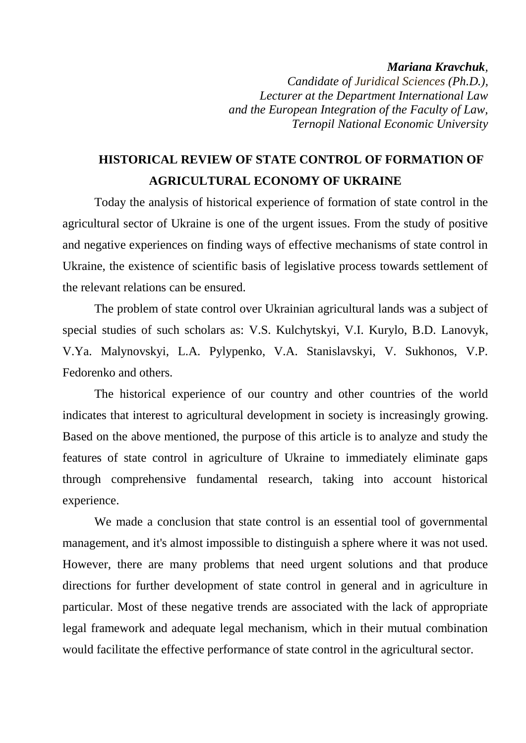#### *Mariana Kravchuk,*

*Candidate of Juridical Sciences (Ph.D.), Lecturer at the Department International Law and the European Integration of the Faculty of Law, Ternopil National Economic University*

# **HISTORICAL REVIEW OF STATE CONTROL OF FORMATION OF AGRICULTURAL ECONOMY OF UKRAINE**

Today the analysis of historical experience of formation of state control in the agricultural sector of Ukraine is one of the urgent issues. From the study of positive and negative experiences on finding ways of effective mechanisms of state control in Ukraine, the existence of scientific basis of legislative process towards settlement of the relevant relations can be ensured.

The problem of state control over Ukrainian agricultural lands was a subject of special studies of such scholars as: V.S. Kulchytskyi, V.I. Kurylo, B.D. Lanovyk, V.Ya. Malynovskyi, L.A. Pylypenko, V.A. Stanislavskyi, V. Sukhonos, V.P. Fedorenko and others.

The historical experience of our country and other countries of the world indicates that interest to agricultural development in society is increasingly growing. Based on the above mentioned, the purpose of this article is to analyze and study the features of state control in agriculture of Ukraine to immediately eliminate gaps through comprehensive fundamental research, taking into account historical experience.

We made a conclusion that state control is an essential tool of governmental management, and it's almost impossible to distinguish a sphere where it was not used. However, there are many problems that need urgent solutions and that produce directions for further development of state control in general and in agriculture in particular. Most of these negative trends are associated with the lack of appropriate legal framework and adequate legal mechanism, which in their mutual combination would facilitate the effective performance of state control in the agricultural sector.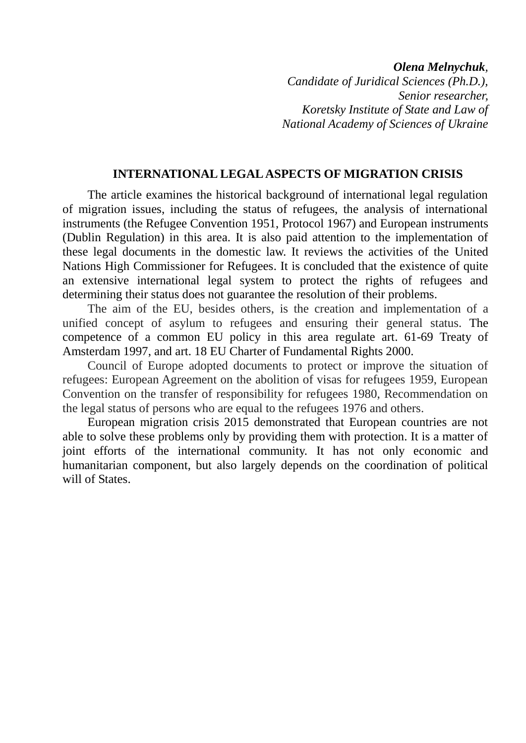*Olena Melnychuk,* 

*Candidate of Juridical Sciences (Ph.D.), Senior researcher, Koretsky Institute of State and Law of National Academy of Sciences of Ukraine*

## **INTERNATIONAL LEGAL ASPECTS OF MIGRATION CRISIS**

The article examines the historical background of international legal regulation of migration issues, including the status of refugees, the analysis of international instruments (the Refugee Convention 1951, Protocol 1967) and European instruments (Dublin Regulation) in this area. It is also paid attention to the implementation of these legal documents in the domestic law. It reviews the activities of the United Nations High Commissioner for Refugees. It is concluded that the existence of quite an extensive international legal system to protect the rights of refugees and determining their status does not guarantee the resolution of their problems.

The aim of the EU, besides others, is the creation and implementation of a unified concept of asylum to refugees and ensuring their general status. The competence of a common EU policy in this area regulate art. 61-69 Treaty of Amsterdam 1997, and art. 18 EU Charter of Fundamental Rights 2000.

Council of Europe adopted documents to protect or improve the situation of refugees: European Agreement on the abolition of visas for refugees 1959, European Convention on the transfer of responsibility for refugees 1980, Recommendation on the legal status of persons who are equal to the refugees 1976 and others.

European migration crisis 2015 demonstrated that European countries are not able to solve these problems only by providing them with protection. It is a matter of joint efforts of the international community. It has not only economic and humanitarian component, but also largely depends on the coordination of political will of States.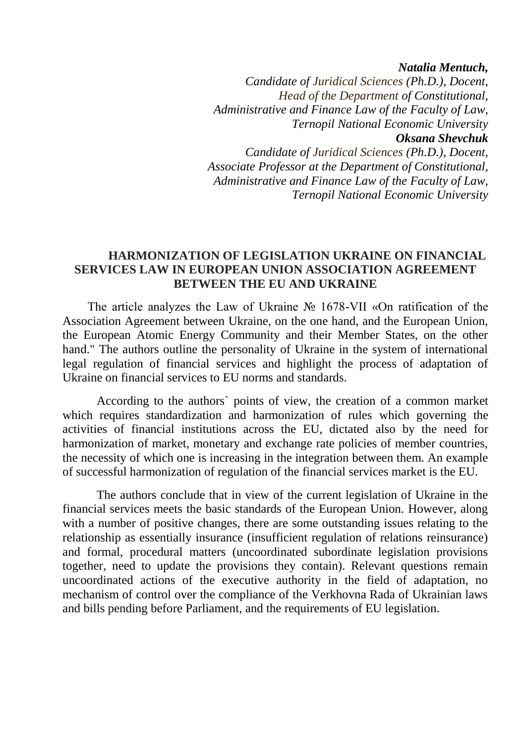*Natalia Mentuch,*

*Candidate of Juridical Sciences (Ph.D.), Docent, Head of the Department of Constitutional, Administrative and Finance Law of the Faculty of Law, Ternopil National Economic University Oksana Shevchuk Candidate of Juridical Sciences (Ph.D.), Docent,* 

*Associate Professor at the Department of Constitutional, Administrative and Finance Law of the Faculty of Law, Ternopil National Economic University*

# **HARMONIZATION OF LEGISLATION UKRAINE ON FINANCIAL SERVICES LAW IN EUROPEAN UNION ASSOCIATION AGREEMENT BETWEEN THE EU AND UKRAINE**

The article analyzes the Law of Ukraine № 1678-VII «On ratification of the Association Agreement between Ukraine, on the one hand, and the European Union, the European Atomic Energy Community and their Member States, on the other hand." The authors outline the personality of Ukraine in the system of international legal regulation of financial services and highlight the process of adaptation of Ukraine on financial services to EU norms and standards.

 According to the authors` points of view, the creation of a common market which requires standardization and harmonization of rules which governing the activities of financial institutions across the EU, dictated also by the need for harmonization of market, monetary and exchange rate policies of member countries, the necessity of which one is increasing in the integration between them. An example of successful harmonization of regulation of the financial services market is the EU.

 The authors conclude that in view of the current legislation of Ukraine in the financial services meets the basic standards of the European Union. However, along with a number of positive changes, there are some outstanding issues relating to the relationship as essentially insurance (insufficient regulation of relations reinsurance) and formal, procedural matters (uncoordinated subordinate legislation provisions together, need to update the provisions they contain). Relevant questions remain uncoordinated actions of the executive authority in the field of adaptation, no mechanism of control over the compliance of the Verkhovna Rada of Ukrainian laws and bills pending before Parliament, and the requirements of EU legislation.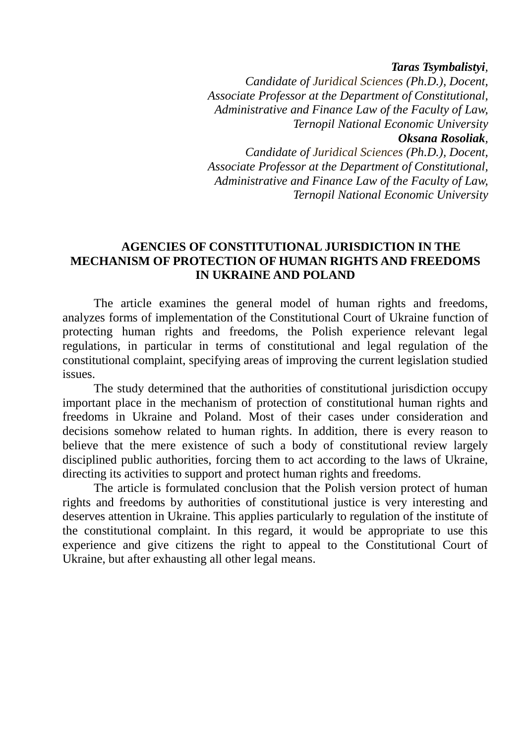*Taras Tsymbalistyi,* 

*Candidate of Juridical Sciences (Ph.D.), Docent, Associate Professor at the Department of Constitutional, Administrative and Finance Law of the Faculty of Law, Ternopil National Economic University Oksana Rosoliak,* 

*Candidate of Juridical Sciences (Ph.D.), Docent, Associate Professor at the Department of Constitutional, Administrative and Finance Law of the Faculty of Law, Ternopil National Economic University*

# **AGENCIES OF CONSTITUTIONAL JURISDICTION IN THE MECHANISM OF PROTECTION OF HUMAN RIGHTS AND FREEDOMS IN UKRAINE AND POLAND**

The article examines the general model of human rights and freedoms, analyzes forms of implementation of the Constitutional Court of Ukraine function of protecting human rights and freedoms, the Polish experience relevant legal regulations, in particular in terms of constitutional and legal regulation of the constitutional complaint, specifying areas of improving the current legislation studied issues.

The study determined that the authorities of constitutional jurisdiction occupy important place in the mechanism of protection of constitutional human rights and freedoms in Ukraine and Poland. Most of their cases under consideration and decisions somehow related to human rights. In addition, there is every reason to believe that the mere existence of such a body of constitutional review largely disciplined public authorities, forcing them to act according to the laws of Ukraine, directing its activities to support and protect human rights and freedoms.

The article is formulated conclusion that the Polish version protect of human rights and freedoms by authorities of constitutional justice is very interesting and deserves attention in Ukraine. This applies particularly to regulation of the institute of the constitutional complaint. In this regard, it would be appropriate to use this experience and give citizens the right to appeal to the Constitutional Court of Ukraine, but after exhausting all other legal means.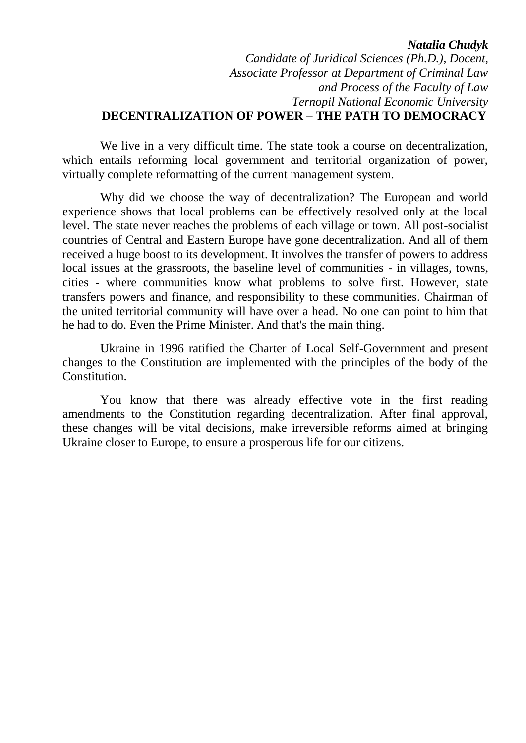### *Natalia Chudyk*

# *Candidate of Juridical Sciences (Ph.D.), Docent, Associate Professor at Department of Criminal Law and Process of the Faculty of Law Ternopil National Economic University* **DECENTRALIZATION OF POWER – THE PATH TO DEMOCRACY**

We live in a very difficult time. The state took a course on decentralization, which entails reforming local government and territorial organization of power, virtually complete reformatting of the current management system.

Why did we choose the way of decentralization? The European and world experience shows that local problems can be effectively resolved only at the local level. The state never reaches the problems of each village or town. All post-socialist countries of Central and Eastern Europe have gone decentralization. And all of them received a huge boost to its development. It involves the transfer of powers to address local issues at the grassroots, the baseline level of communities - in villages, towns, cities - where communities know what problems to solve first. However, state transfers powers and finance, and responsibility to these communities. Chairman of the united territorial community will have over a head. No one can point to him that he had to do. Even the Prime Minister. And that's the main thing.

Ukraine in 1996 ratified the Charter of Local Self-Government and present changes to the Constitution are implemented with the principles of the body of the Constitution.

You know that there was already effective vote in the first reading amendments to the Constitution regarding decentralization. After final approval, these changes will be vital decisions, make irreversible reforms aimed at bringing Ukraine closer to Europe, to ensure a prosperous life for our citizens.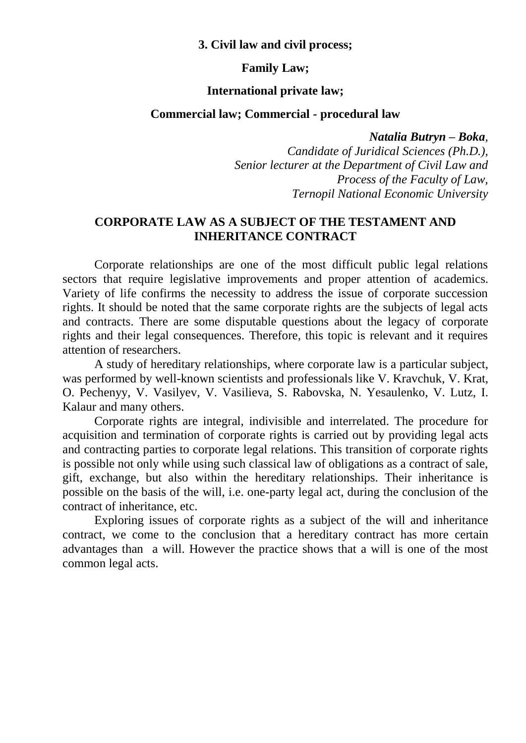## **3. Civil law and civil process;**

## **Family Law;**

### **International private law;**

## **Commercial law; Commercial - procedural law**

*Natalia Butryn – Boka,* 

*Candidate of Juridical Sciences (Ph.D.), Senior lecturer at the Department of Civil Law and Process of the Faculty of Law, Ternopil National Economic University*

# **CORPORATE LAW AS A SUBJECT OF THE TESTAMENT AND INHERITANCE CONTRACT**

Corporate relationships are one of the most difficult public legal relations sectors that require legislative improvements and proper attention of academics. Variety of life confirms the necessity to address the issue of corporate succession rights. It should be noted that the same corporate rights are the subjects of legal acts and contracts. There are some disputable questions about the legacy of corporate rights and their legal consequences. Therefore, this topic is relevant and it requires attention of researchers.

A study of hereditary relationships, where corporate law is a particular subject, was performed by well-known scientists and professionals like V. Kravchuk, V. Krat, O. Pechenyy, V. Vasilyev, V. Vasilieva, S. Rabovska, N. Yesaulenko, V. Lutz, I. Kalaur and many others.

Corporate rights are integral, indivisible and interrelated. The procedure for acquisition and termination of corporate rights is carried out by providing legal acts and contracting parties to corporate legal relations. This transition of corporate rights is possible not only while using such classical law of obligations as a contract of sale, gift, exchange, but also within the hereditary relationships. Their inheritance is possible on the basis of the will, i.e. one-party legal act, during the conclusion of the contract of inheritance, etc.

Exploring issues of corporate rights as a subject of the will and inheritance contract, we come to the conclusion that a hereditary contract has more certain advantages than a will. However the practice shows that a will is one of the most common legal acts.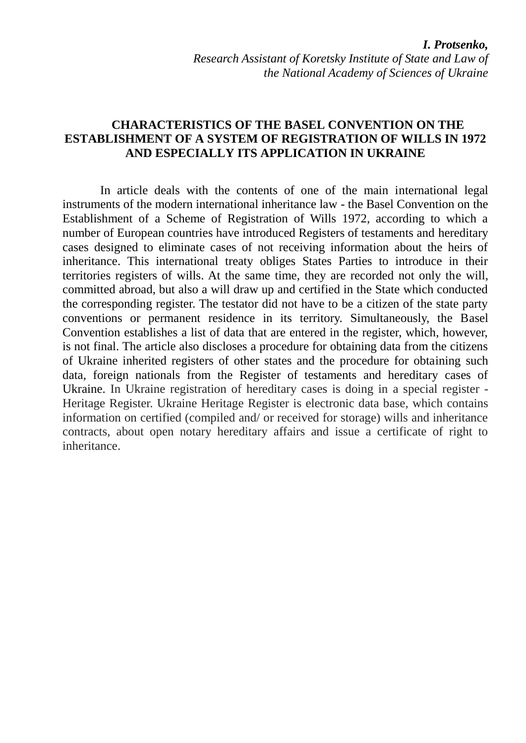# **CHARACTERISTICS OF THE BASEL CONVENTION ON THE ESTABLISHMENT OF A SYSTEM OF REGISTRATION OF WILLS IN 1972 AND ESPECIALLY ITS APPLICATION IN UKRAINE**

In article deals with the contents of one of the main international legal instruments of the modern international inheritance law - the Basel Convention on the Establishment of a Scheme of Registration of Wills 1972, according to which a number of European countries have introduced Registers of testaments and hereditary cases designed to eliminate cases of not receiving information about the heirs of inheritance. This international treaty obliges States Parties to introduce in their territories registers of wills. At the same time, they are recorded not only the will, committed abroad, but also a will draw up and certified in the State which conducted the corresponding register. The testator did not have to be a citizen of the state party conventions or permanent residence in its territory. Simultaneously, the Basel Convention establishes a list of data that are entered in the register, which, however, is not final. The article also discloses a procedure for obtaining data from the citizens of Ukraine inherited registers of other states and the procedure for obtaining such data, foreign nationals from the Register of testaments and hereditary cases of Ukraine. In Ukraine registration of hereditary cases is doing in a special register - Heritage Register. Ukraine Heritage Register is electronic data base, which contains information on certified (compiled and/ or received for storage) wills and inheritance contracts, about open notary hereditary affairs and issue a certificate of right to inheritance.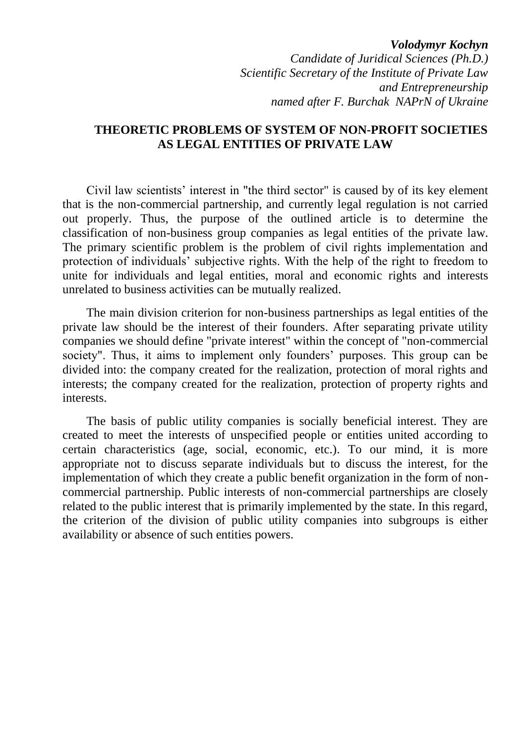*Volodymyr Kochyn Candidate of Juridical Sciences (Ph.D.) Scientific Secretary of the Institute of Private Law and Entrepreneurship named after F. Burchak NAPrN of Ukraine*

## **THEORETIC PROBLEMS OF SYSTEM OF NON-PROFIT SOCIETIES AS LEGAL ENTITIES OF PRIVATE LAW**

Civil law scientists" interest in "the third sector" is caused by of its key element that is the non-commercial partnership, and currently legal regulation is not carried out properly. Thus, the purpose of the outlined article is to determine the classification of non-business group companies as legal entities of the private law. The primary scientific problem is the problem of civil rights implementation and protection of individuals" subjective rights. With the help of the right to freedom to unite for individuals and legal entities, moral and economic rights and interests unrelated to business activities can be mutually realized.

The main division criterion for non-business partnerships as legal entities of the private law should be the interest of their founders. After separating private utility companies we should define "private interest" within the concept of "non-commercial society". Thus, it aims to implement only founders' purposes. This group can be divided into: the company created for the realization, protection of moral rights and interests; the company created for the realization, protection of property rights and interests.

The basis of public utility companies is socially beneficial interest. They are created to meet the interests of unspecified people or entities united according to certain characteristics (age, social, economic, etc.). To our mind, it is more appropriate not to discuss separate individuals but to discuss the interest, for the implementation of which they create a public benefit organization in the form of noncommercial partnership. Public interests of non-commercial partnerships are closely related to the public interest that is primarily implemented by the state. In this regard, the criterion of the division of public utility companies into subgroups is either availability or absence of such entities powers.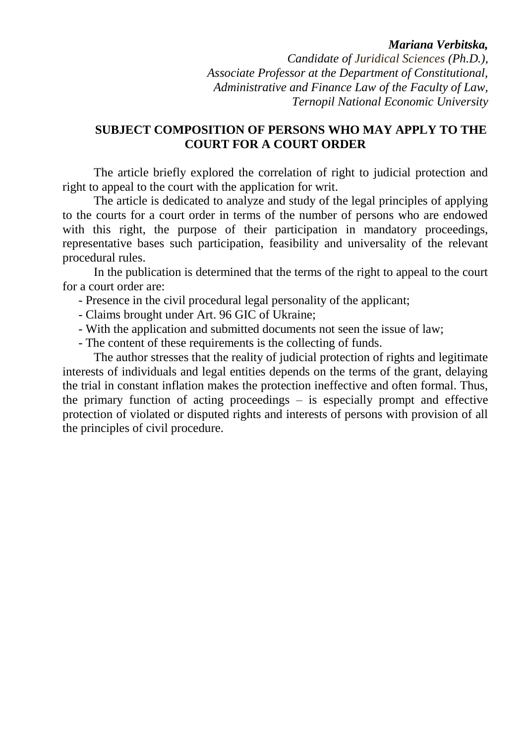## *Mariana Verbitska,*

*Candidate of Juridical Sciences (Ph.D.), Associate Professor at the Department of Constitutional, Administrative and Finance Law of the Faculty of Law, Ternopil National Economic University*

# **SUBJECT COMPOSITION OF PERSONS WHO MAY APPLY TO THE COURT FOR A COURT ORDER**

The article briefly explored the correlation of right to judicial protection and right to appeal to the court with the application for writ.

The article is dedicated to analyze and study of the legal principles of applying to the courts for a court order in terms of the number of persons who are endowed with this right, the purpose of their participation in mandatory proceedings, representative bases such participation, feasibility and universality of the relevant procedural rules.

In the publication is determined that the terms of the right to appeal to the court for a court order are:

- Presence in the civil procedural legal personality of the applicant;
- Claims brought under Art. 96 GIC of Ukraine;
- With the application and submitted documents not seen the issue of law;
- The content of these requirements is the collecting of funds.

The author stresses that the reality of judicial protection of rights and legitimate interests of individuals and legal entities depends on the terms of the grant, delaying the trial in constant inflation makes the protection ineffective and often formal. Thus, the primary function of acting proceedings  $-$  is especially prompt and effective protection of violated or disputed rights and interests of persons with provision of all the principles of civil procedure.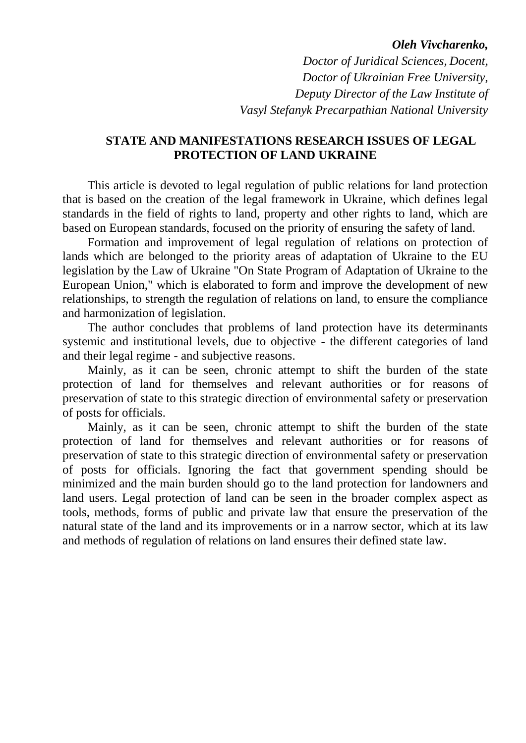#### *Oleh Vivcharenko,*

*Doctor of Juridical Sciences, Docent, Doctor of Ukrainian Free University, Deputy Director of the Law Institute of Vasyl Stefanyk Precarpathian National University* 

## **STATE AND MANIFESTATIONS RESEARCH ISSUES OF LEGAL PROTECTION OF LAND UKRAINE**

This article is devoted to legal regulation of public relations for land protection that is based on the creation of the legal framework in Ukraine, which defines legal standards in the field of rights to land, property and other rights to land, which are based on European standards, focused on the priority of ensuring the safety of land.

Formation and improvement of legal regulation of relations on protection of lands which are belonged to the priority areas of adaptation of Ukraine to the EU legislation by the Law of Ukraine "On State Program of Adaptation of Ukraine to the European Union," which is elaborated to form and improve the development of new relationships, to strength the regulation of relations on land, to ensure the compliance and harmonization of legislation.

The author concludes that problems of land protection have its determinants systemic and institutional levels, due to objective - the different categories of land and their legal regime - and subjective reasons.

Mainly, as it can be seen, chronic attempt to shift the burden of the state protection of land for themselves and relevant authorities or for reasons of preservation of state to this strategic direction of environmental safety or preservation of posts for officials.

Mainly, as it can be seen, chronic attempt to shift the burden of the state protection of land for themselves and relevant authorities or for reasons of preservation of state to this strategic direction of environmental safety or preservation of posts for officials. Ignoring the fact that government spending should be minimized and the main burden should go to the land protection for landowners and land users. Legal protection of land can be seen in the broader complex aspect as tools, methods, forms of public and private law that ensure the preservation of the natural state of the land and its improvements or in a narrow sector, which at its law and methods of regulation of relations on land ensures their defined state law.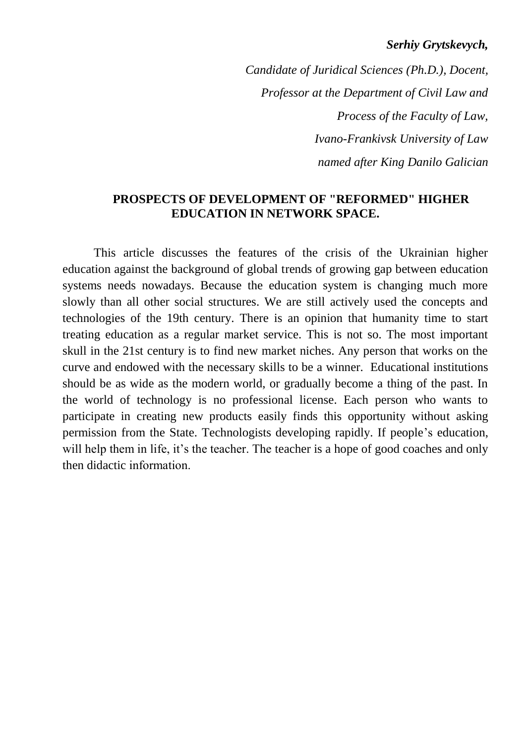## *Serhiy Grytskevych,*

*Candidate of Juridical Sciences (Ph.D.), Docent, Professor at the Department of Civil Law and Process of the Faculty of Law, Ivano-Frankivsk University of Law named after King Danilo Galician*

# **PROSPECTS OF DEVELOPMENT OF "REFORMED" HIGHER EDUCATION IN NETWORK SPACE.**

This article discusses the features of the crisis of the Ukrainian higher education against the background of global trends of growing gap between education systems needs nowadays. Because the education system is changing much more slowly than all other social structures. We are still actively used the concepts and technologies of the 19th century. There is an opinion that humanity time to start treating education as a regular market service. This is not so. The most important skull in the 21st century is to find new market niches. Any person that works on the curve and endowed with the necessary skills to be a winner. Educational institutions should be as wide as the modern world, or gradually become a thing of the past. In the world of technology is no professional license. Each person who wants to participate in creating new products easily finds this opportunity without asking permission from the State. Technologists developing rapidly. If people"s education, will help them in life, it's the teacher. The teacher is a hope of good coaches and only then didactic information.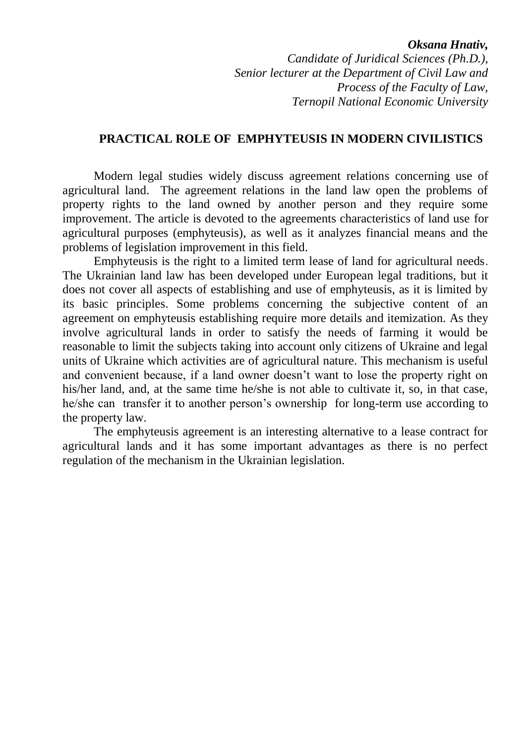#### *Oksana Hnativ,*

*Candidate of Juridical Sciences (Ph.D.), Senior lecturer at the Department of Civil Law and Process of the Faculty of Law, Ternopil National Economic University*

## **PRACTICAL ROLE OF EMPHYTEUSIS IN MODERN CIVILISTICS**

Modern legal studies widely discuss agreement relations concerning use of agricultural land. The agreement relations in the land law open the problems of property rights to the land owned by another person and they require some improvement. The article is devoted to the agreements characteristics of land use for agricultural purposes (emphyteusis), as well as it analyzes financial means and the problems of legislation improvement in this field.

Emphyteusis is the right to a limited term lease of land for agricultural needs. The Ukrainian land law has been developed under European legal traditions, but it does not cover all aspects of establishing and use of emphyteusis, as it is limited by its basic principles. Some problems concerning the subjective content of an agreement on emphyteusis establishing require more details and itemization. As they involve agricultural lands in order to satisfy the needs of farming it would be reasonable to limit the subjects taking into account only citizens of Ukraine and legal units of Ukraine which activities are of agricultural nature. This mechanism is useful and convenient because, if a land owner doesn"t want to lose the property right on his/her land, and, at the same time he/she is not able to cultivate it, so, in that case, he/she can transfer it to another person's ownership for long-term use according to the property law.

The emphyteusis agreement is an interesting alternative to a lease contract for agricultural lands and it has some important advantages as there is no perfect regulation of the mechanism in the Ukrainian legislation.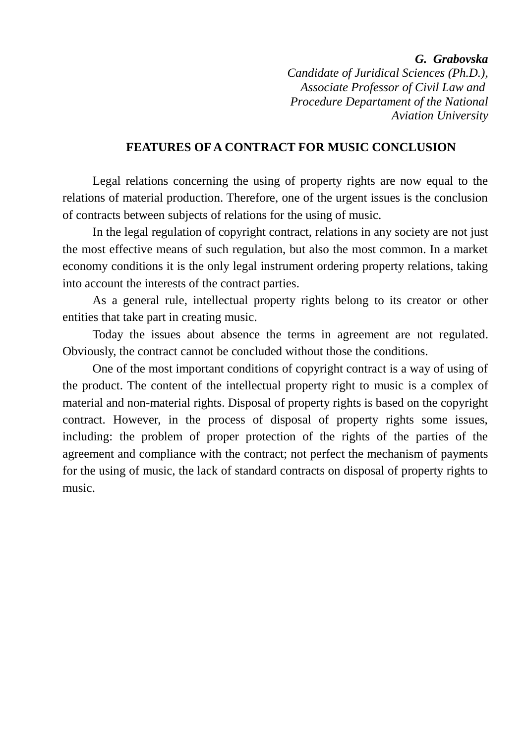*G. Grabovska* 

*Candidate of Juridical Sciences (Ph.D.), Associate Professor of Civil Law and Procedure Departament of the National Aviation University*

## **FEATURES OF A CONTRACT FOR MUSIC CONCLUSION**

Legal relations concerning the using of property rights are now equal to the relations of material production. Therefore, one of the urgent issues is the conclusion of contracts between subjects of relations for the using of music.

In the legal regulation of copyright contract, relations in any society are not just the most effective means of such regulation, but also the most common. In a market economy conditions it is the only legal instrument ordering property relations, taking into account the interests of the contract parties.

As a general rule, intellectual property rights belong to its creator or other entities that take part in creating music.

Today the issues about absence the terms in agreement are not regulated. Obviously, the contract cannot be concluded without those the conditions.

One of the most important conditions of copyright contract is a way of using of the product. The content of the intellectual property right to music is a complex of material and non-material rights. Disposal of property rights is based on the copyright contract. However, in the process of disposal of property rights some issues, including: the problem of proper protection of the rights of the parties of the agreement and compliance with the contract; not perfect the mechanism of payments for the using of music, the lack of standard contracts on disposal of property rights to music.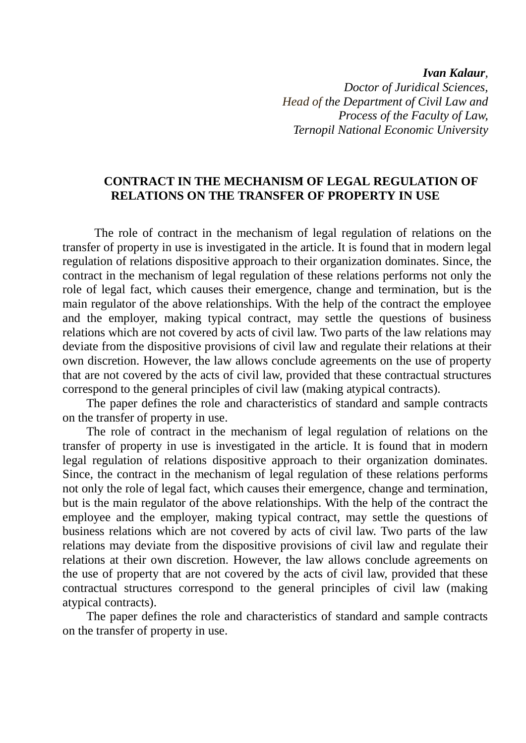*Ivan Kalaur, Doctor of Juridical Sciences, Head of the Department of Civil Law and Process of the Faculty of Law, Ternopil National Economic University*

## **CONTRACT IN THE MECHANISM OF LEGAL REGULATION OF RELATIONS ON THE TRANSFER OF PROPERTY IN USE**

The role of contract in the mechanism of legal regulation of relations on the transfer of property in use is investigated in the article. It is found that in modern legal regulation of relations dispositive approach to their organization dominates. Since, the contract in the mechanism of legal regulation of these relations performs not only the role of legal fact, which causes their emergence, change and termination, but is the main regulator of the above relationships. With the help of the contract the employee and the employer, making typical contract, may settle the questions of business relations which are not covered by acts of civil law. Two parts of the law relations may deviate from the dispositive provisions of civil law and regulate their relations at their own discretion. However, the law allows conclude agreements on the use of property that are not covered by the acts of civil law, provided that these contractual structures correspond to the general principles of civil law (making atypical contracts).

The paper defines the role and characteristics of standard and sample contracts on the transfer of property in use.

The role of contract in the mechanism of legal regulation of relations on the transfer of property in use is investigated in the article. It is found that in modern legal regulation of relations dispositive approach to their organization dominates. Since, the contract in the mechanism of legal regulation of these relations performs not only the role of legal fact, which causes their emergence, change and termination, but is the main regulator of the above relationships. With the help of the contract the employee and the employer, making typical contract, may settle the questions of business relations which are not covered by acts of civil law. Two parts of the law relations may deviate from the dispositive provisions of civil law and regulate their relations at their own discretion. However, the law allows conclude agreements on the use of property that are not covered by the acts of civil law, provided that these contractual structures correspond to the general principles of civil law (making atypical contracts).

The paper defines the role and characteristics of standard and sample contracts on the transfer of property in use.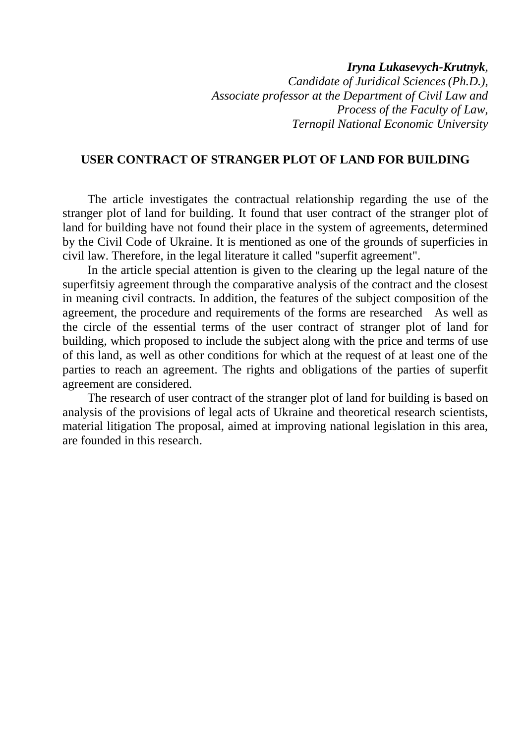# *Iryna Lukasevych-Krutnyk, Candidate of Juridical Sciences(Ph.D.), Associate professor at the Department of Civil Law and Process of the Faculty of Law, Ternopil National Economic University*

# **USER CONTRACT OF STRANGER PLOT OF LAND FOR BUILDING**

The article investigates the contractual relationship regarding the use of the stranger plot of land for building. It found that user contract of the stranger plot of land for building have not found their place in the system of agreements, determined by the Civil Code of Ukraine. It is mentioned as one of the grounds of superficies in civil law. Therefore, in the legal literature it called "superfit agreement".

In the article special attention is given to the clearing up the legal nature of the superfitsiy agreement through the comparative analysis of the contract and the closest in meaning civil contracts. In addition, the features of the subject composition of the agreement, the procedure and requirements of the forms are researched As well as the circle of the essential terms of the user contract of stranger plot of land for building, which proposed to include the subject along with the price and terms of use of this land, as well as other conditions for which at the request of at least one of the parties to reach an agreement. The rights and obligations of the parties of superfit agreement are considered.

The research of user contract of the stranger plot of land for building is based on analysis of the provisions of legal acts of Ukraine and theoretical research scientists, material litigation The proposal, aimed at improving national legislation in this area, are founded in this research.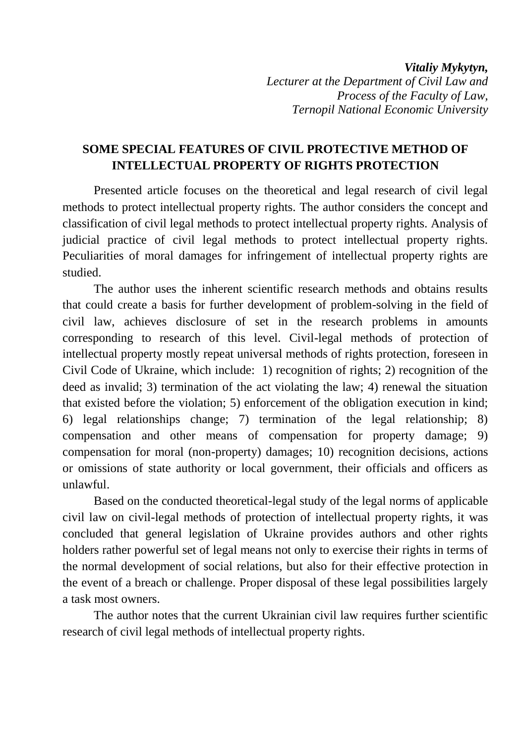*Vitaliy Mykytyn, Lecturer at the Department of Civil Law and Process of the Faculty of Law, Ternopil National Economic University*

# **SOME SPECIAL FEATURES OF CIVIL PROTECTIVE METHOD OF INTELLECTUAL PROPERTY OF RIGHTS PROTECTION**

Presented article focuses on the theoretical and legal research of civil legal methods to protect intellectual property rights. The author considers the concept and classification of civil legal methods to protect intellectual property rights. Analysis of judicial practice of civil legal methods to protect intellectual property rights. Peculiarities of moral damages for infringement of intellectual property rights are studied.

The author uses the inherent scientific research methods and obtains results that could create a basis for further development of problem-solving in the field of civil law, achieves disclosure of set in the research problems in amounts corresponding to research of this level. Civil-legal methods of protection of intellectual property mostly repeat universal methods of rights protection, foreseen in Civil Code of Ukraine, which include: 1) recognition of rights; 2) recognition of the deed as invalid; 3) termination of the act violating the law; 4) renewal the situation that existed before the violation; 5) enforcement of the obligation execution in kind; 6) legal relationships change; 7) termination of the legal relationship; 8) compensation and other means of compensation for property damage; 9) compensation for moral (non-property) damages; 10) recognition decisions, actions or omissions of state authority or local government, their officials and officers as unlawful.

Based on the conducted theoretical-legal study of the legal norms of applicable civil law on civil-legal methods of protection of intellectual property rights, it was concluded that general legislation of Ukraine provides authors and other rights holders rather powerful set of legal means not only to exercise their rights in terms of the normal development of social relations, but also for their effective protection in the event of a breach or challenge. Proper disposal of these legal possibilities largely a task most owners.

The author notes that the current Ukrainian civil law requires further scientific research of civil legal methods of intellectual property rights.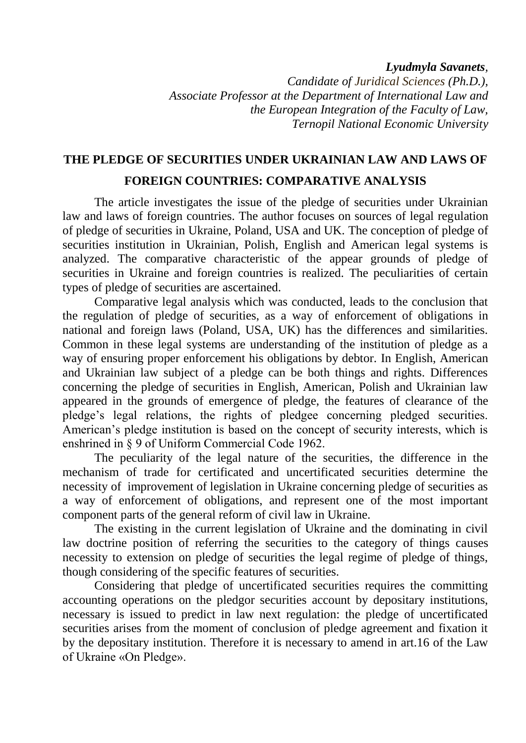## *Lyudmyla Savanets,*

*Candidate of Juridical Sciences (Ph.D.), Associate Professor at the Department of International Law and the European Integration of the Faculty of Law, Ternopil National Economic University*

# **THE PLEDGE OF SECURITIES UNDER UKRAINIAN LAW AND LAWS OF FOREIGN COUNTRIES: COMPARATIVE ANALYSIS**

The article investigates the issue of the pledge of securities under Ukrainian law and laws of foreign countries. The author focuses on sources of legal regulation of pledge of securities in Ukraine, Poland, USA and UK. The conception of pledge of securities institution in Ukrainian, Polish, English and American legal systems is analyzed. The comparative characteristic of the appear grounds of pledge of securities in Ukraine and foreign countries is realized. The peculiarities of certain types of pledge of securities are ascertained.

Comparative legal analysis which was conducted, leads to the conclusion that the regulation of pledge of securities, as a way of enforcement of obligations in national and foreign laws (Poland, USA, UK) has the differences and similarities. Common in these legal systems are understanding of the institution of pledge as a way of ensuring proper enforcement his obligations by debtor. In English, American and Ukrainian law subject of a pledge can be both things and rights. Differences concerning the pledge of securities in English, American, Polish and Ukrainian law appeared in the grounds of emergence of pledge, the features of clearance of the pledge"s legal relations, the rights of pledgee concerning pledged securities. American"s pledge institution is based on the concept of security interests, which is enshrined in § 9 of Uniform Commercial Code 1962.

The peculiarity of the legal nature of the securities, the difference in the mechanism of trade for certificated and uncertificated securities determine the necessity of improvement of legislation in Ukraine concerning pledge of securities as a way of enforcement of obligations, and represent one of the most important component parts of the general reform of civil law in Ukraine.

The existing in the current legislation of Ukraine and the dominating in civil law doctrine position of referring the securities to the category of things causes necessity to extension on pledge of securities the legal regime of pledge of things, though considering of the specific features of securities.

Considering that pledge of uncertificated securities requires the committing accounting operations on the pledgor securities account by depositary institutions, necessary is issued to predict in law next regulation: the pledge of uncertificated securities arises from the moment of conclusion of pledge agreement and fixation it by the depositary institution. Therefore it is necessary to amend in art.16 of the Law of Ukraine «On Pledge».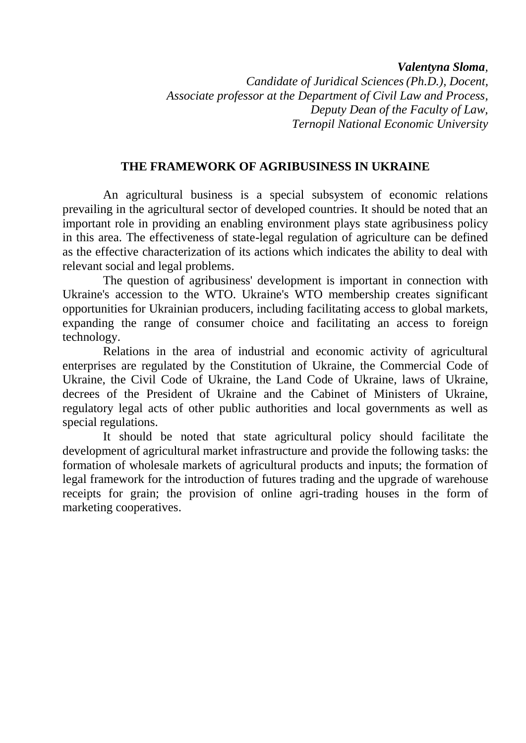*Valentyna Sloma,* 

*Candidate of Juridical Sciences(Ph.D.), Docent, Associate professor at the Department of Civil Law and Process, [Deputy Dean](http://context.reverso.net/%D0%BF%D0%B5%D1%80%D0%B5%D0%B2%D0%BE%D0%B4/%D0%B0%D0%BD%D0%B3%D0%BB%D0%B8%D0%B9%D1%81%D0%BA%D0%B8%D0%B9-%D1%80%D1%83%D1%81%D1%81%D0%BA%D0%B8%D0%B9/Deputy+Dean) of the Faculty of Law, Ternopil National Economic University*

# **THE FRAMEWORK OF AGRIBUSINESS IN UKRAINE**

An agricultural business is a special subsystem of economic relations prevailing in the agricultural sector of developed countries. It should be noted that an important role in providing an enabling environment plays state agribusiness policy in this area. The effectiveness of state-legal regulation of agriculture can be defined as the effective characterization of its actions which indicates the ability to deal with relevant social and legal problems.

The question of agribusiness' development is important in connection with Ukraine's accession to the WTO. Ukraine's WTO membership creates significant opportunities for Ukrainian producers, including facilitating access to global markets, expanding the range of consumer choice and facilitating an access to foreign technology.

Relations in the area of industrial and economic activity of agricultural enterprises are regulated by the Constitution of Ukraine, the Commercial Code of Ukraine, the Civil Code of Ukraine, the Land Code of Ukraine, laws of Ukraine, decrees of the President of Ukraine and the Cabinet of Ministers of Ukraine, regulatory legal acts of other public authorities and local governments as well as special regulations.

It should be noted that state agricultural policy should facilitate the development of agricultural market infrastructure and provide the following tasks: the formation of wholesale markets of agricultural products and inputs; the formation of legal framework for the introduction of futures trading and the upgrade of warehouse receipts for grain; the provision of online agri-trading houses in the form of marketing cooperatives.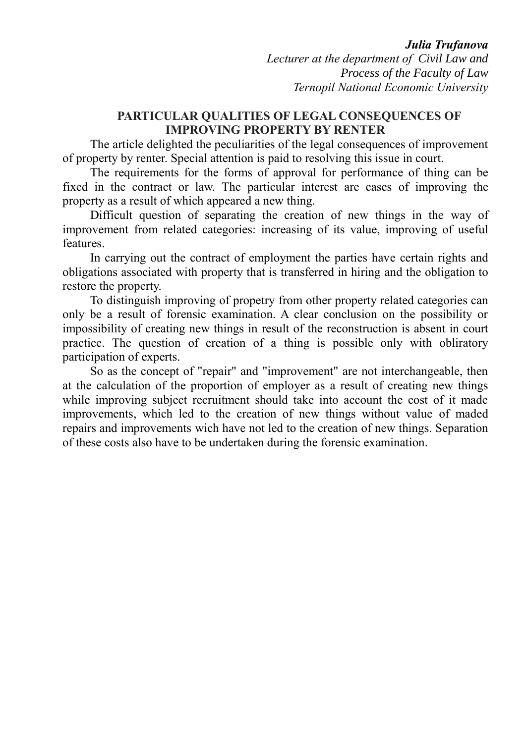## *Julia Trufanova*

*Lecturer at the department of Civil Law and Process of the Faculty of Law Ternopil National Economic University*

# **PARTICULAR QUALITIES OF LEGAL CONSEQUENCES OF IMPROVING PROPERTY BY RENTER**

The article delighted the peculiarities of the legal consequences of improvement of property by renter. Special attention is paid to resolving this issue in court.

The requirements for the forms of approval for performance of thing can be fixed in the contract or law. The particular interest are cases of improving the property as a result of which appeared a new thing.

Difficult question of separating the creation of new things in the way of improvement from related categories: increasing of its value, improving of useful features.

In carrying out the contract of employment the parties have certain rights and obligations associated with property that is transferred in hiring and the obligation to restore the property.

To distinguish improving of propetry from other property related categories can only be a result of forensic examination. A clear conclusion on the possibility or impossibility of creating new things in result of the reconstruction is absent in court practice. The question of creation of a thing is possible only with obliratory participation of experts.

So as the concept of "repair" and "improvement" are not interchangeable, then at the calculation of the proportion of employer as a result of creating new things while improving subject recruitment should take into account the cost of it made improvements, which led to the creation of new things without value of maded repairs and improvements wich have not led to the creation of new things. Separation of these costs also have to be undertaken during the forensic examination.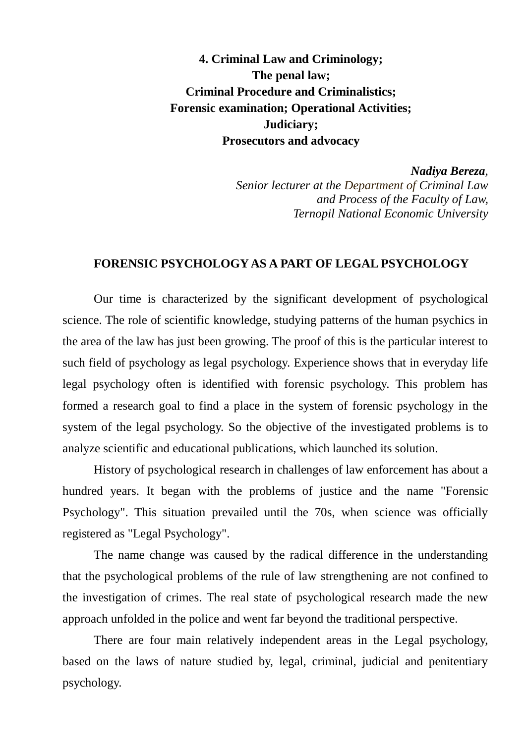**4. Criminal Law and Criminology; The penal law; Criminal Procedure and Criminalistics; Forensic examination; Operational Activities; Judiciary; Prosecutors and advocacy**

*Nadiya Bereza,* 

*Senior lecturer at the Department of Criminal Law and Process of the Faculty of Law, Ternopil National Economic University*

## **FORENSIC PSYCHOLOGY AS A PART OF LEGAL PSYCHOLOGY**

Our time is characterized by the significant development of psychological science. The role of scientific knowledge, studying patterns of the human psychics in the area of the law has just been growing. The proof of this is the particular interest to such field of psychology as legal psychology. Experience shows that in everyday life legal psychology often is identified with forensic psychology. This problem has formed a research goal to find a place in the system of forensic psychology in the system of the legal psychology. So the objective of the investigated problems is to analyze scientific and educational publications, which launched its solution.

History of psychological research in challenges of law enforcement has about a hundred years. It began with the problems of justice and the name "Forensic Psychology". This situation prevailed until the 70s, when science was officially registered as "Legal Psychology".

The name change was caused by the radical difference in the understanding that the psychological problems of the rule of law strengthening are not confined to the investigation of crimes. The real state of psychological research made the new approach unfolded in the police and went far beyond the traditional perspective.

There are four main relatively independent areas in the Legal psychology, based on the laws of nature studied by, legal, criminal, judicial and penitentiary psychology.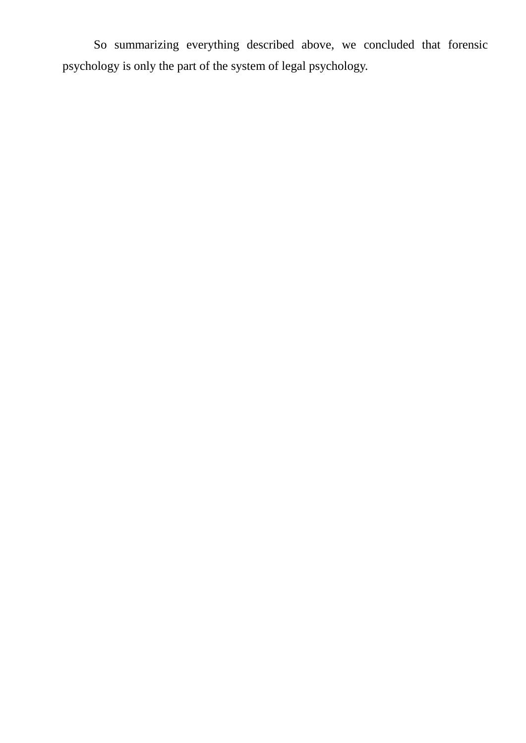So summarizing everything described above, we concluded that forensic psychology is only the part of the system of legal psychology.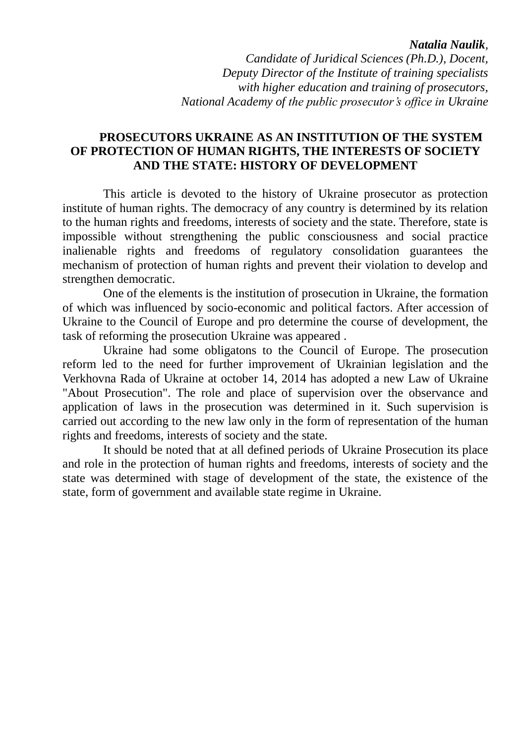### *Natalia Naulik,*

*Candidate of Juridical Sciences (Ph.D.), Docent, Deputy Director of the Institute of training specialists with higher education and training of prosecutors, National Academy of the public prosecutor's office in Ukraine*

## **PROSECUTORS UKRAINE AS AN INSTITUTION OF THE SYSTEM OF PROTECTION OF HUMAN RIGHTS, THE INTERESTS OF SOCIETY AND THE STATE: HISTORY OF DEVELOPMENT**

This article is devoted to the history of Ukraine prosecutor as protection institute of human rights. The democracy of any country is determined by its relation to the human rights and freedoms, interests of society and the state. Therefore, state is impossible without strengthening the public consciousness and social practice inalienable rights and freedoms of regulatory consolidation guarantees the mechanism of protection of human rights and prevent their violation to develop and strengthen democratic.

One of the elements is the institution of prosecution in Ukraine, the formation of which was influenced by socio-economic and political factors. After accession of Ukraine to the Council of Europe and pro determine the course of development, the task of reforming the prosecution Ukraine was appeared .

Ukraine had some obligatons to the Council of Europe. The prosecution reform led to the need for further improvement of Ukrainian legislation and the Verkhovna Rada of Ukraine at october 14, 2014 has adopted a new Law of Ukraine "About Prosecution". The role and place of supervision over the observance and application of laws in the prosecution was determined in it. Such supervision is carried out according to the new law only in the form of representation of the human rights and freedoms, interests of society and the state.

It should be noted that at all defined periods of Ukraine Prosecution its place and role in the protection of human rights and freedoms, interests of society and the state was determined with stage of development of the state, the existence of the state, form of government and available state regime in Ukraine.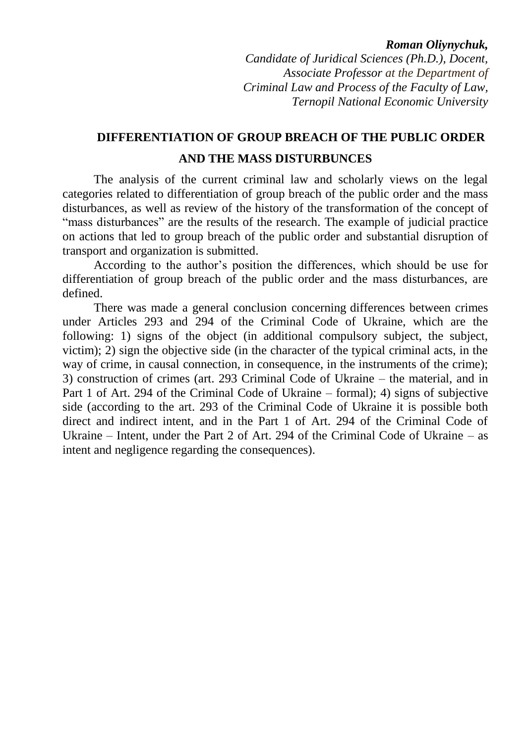#### *Roman Oliynychuk,*

*Candidate of Juridical Sciences (Ph.D.), Docent, Associate Professor at the Department of Criminal Law and Process of the Faculty of Law, Ternopil National Economic University*

# **DIFFERENTIATION OF GROUP BREACH OF THE PUBLIC ORDER AND THE MASS DISTURBUNCES**

The analysis of the current criminal law and scholarly views on the legal categories related to differentiation of group breach of the public order and the mass disturbances, as well as review of the history of the transformation of the concept of "mass disturbances" are the results of the research. The example of judicial practice on actions that led to group breach of the public order and substantial disruption of transport and organization is submitted.

According to the author"s position the differences, which should be use for differentiation of group breach of the public order and the mass disturbances, are defined.

There was made a general conclusion concerning differences between crimes under Articles 293 and 294 of the Criminal Code of Ukraine, which are the following: 1) signs of the object (in additional compulsory subject, the subject, victim); 2) sign the objective side (in the character of the typical criminal acts, in the way of crime, in causal connection, in consequence, in the instruments of the crime); 3) construction of crimes (art. 293 Criminal Code of Ukraine – the material, and in Part 1 of Art. 294 of the Criminal Code of Ukraine – formal); 4) signs of subjective side (according to the art. 293 of the Criminal Code of Ukraine it is possible both direct and indirect intent, and in the Part 1 of Art. 294 of the Criminal Code of Ukraine – Intent, under the Part 2 of Art. 294 of the Criminal Code of Ukraine – as intent and negligence regarding the consequences).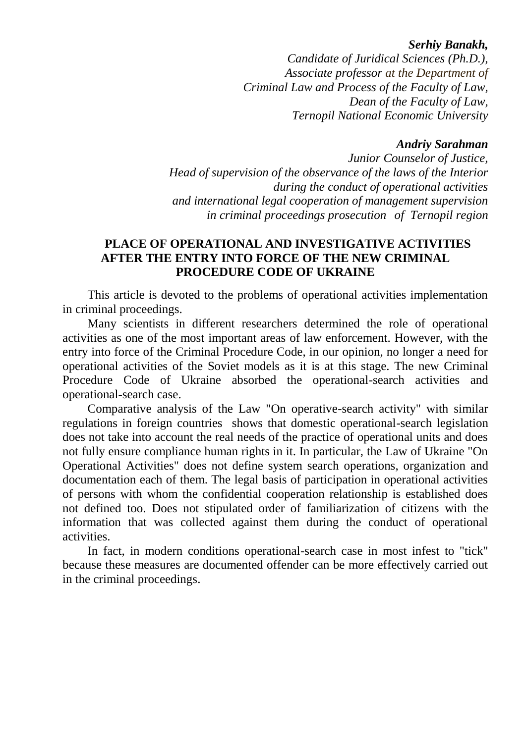### *Serhiy Banakh,*

*Candidate of Juridical Sciences (Ph.D.), Associate professor at the Department of Criminal Law and Process of the Faculty of Law, [Dean](http://context.reverso.net/%D0%BF%D0%B5%D1%80%D0%B5%D0%B2%D0%BE%D0%B4/%D0%B0%D0%BD%D0%B3%D0%BB%D0%B8%D0%B9%D1%81%D0%BA%D0%B8%D0%B9-%D1%80%D1%83%D1%81%D1%81%D0%BA%D0%B8%D0%B9/Deputy+Dean) of the Faculty of Law, Ternopil National Economic University*

#### *Andriy Sarahman*

*Junior Counselor of Justice, Head of supervision of the observance of the laws of the Interior during the conduct of operational activities and international legal cooperation of management supervision in criminal proceedings prosecution of Ternopil region*

# **PLACE OF OPERATIONAL AND INVESTIGATIVE ACTIVITIES AFTER THE ENTRY INTO FORCE OF THE NEW CRIMINAL PROCEDURE CODE OF UKRAINE**

This article is devoted to the problems of operational activities implementation in criminal proceedings.

Many scientists in different researchers determined the role of operational activities as one of the most important areas of law enforcement. However, with the entry into force of the Criminal Procedure Code, in our opinion, no longer a need for operational activities of the Soviet models as it is at this stage. The new Criminal Procedure Code of Ukraine absorbed the operational-search activities and operational-search case.

Comparative analysis of the Law "On operative-search activity" with similar regulations in foreign countries shows that domestic operational-search legislation does not take into account the real needs of the practice of operational units and does not fully ensure compliance human rights in it. In particular, the Law of Ukraine "On Operational Activities" does not define system search operations, organization and documentation each of them. The legal basis of participation in operational activities of persons with whom the confidential cooperation relationship is established does not defined too. Does not stipulated order of familiarization of citizens with the information that was collected against them during the conduct of operational activities.

In fact, in modern conditions operational-search case in most infest to "tick" because these measures are documented offender can be more effectively carried out in the criminal proceedings.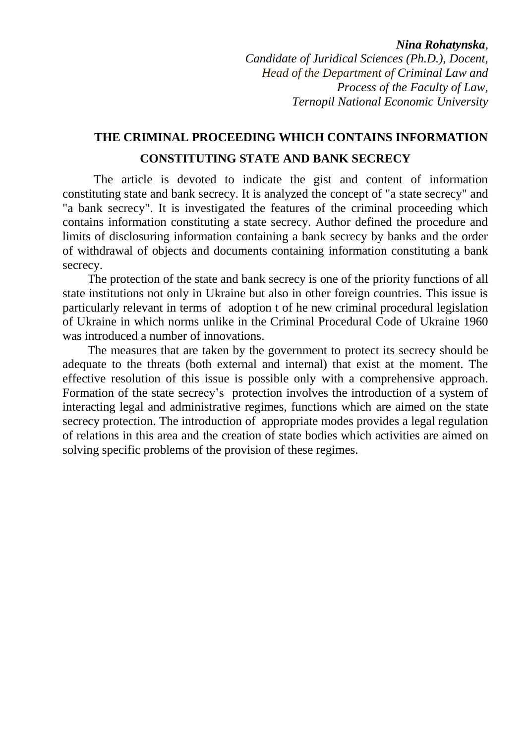#### *Nina Rohatynska,*

*Candidate of Juridical Sciences (Ph.D.), Docent, Head of the Department of Criminal Law and Process of the Faculty of Law, Ternopil National Economic University*

# **THE CRIMINAL PROCEEDING WHICH CONTAINS INFORMATION CONSTITUTING STATE AND BANK SECRECY**

The article is devoted to indicate the gist and content of information constituting state and bank secrecy. It is analyzed the concept of "a state secrecy" and "a bank secrecy". It is investigated the features of the criminal proceeding which contains information constituting a state secrecy. Author defined the procedure and limits of disclosuring information containing a bank secrecy by banks and the order of withdrawal of objects and documents containing information constituting a bank secrecy.

The protection of the state and bank secrecy is one of the priority functions of all state institutions not only in Ukraine but also in other foreign countries. This issue is particularly relevant in terms of adoption t of he new criminal procedural legislation of Ukraine in which norms unlike in the Criminal Procedural Code of Ukraine 1960 was introduced a number of innovations.

The measures that are taken by the government to protect its secrecy should be adequate to the threats (both external and internal) that exist at the moment. The effective resolution of this issue is possible only with a comprehensive approach. Formation of the state secrecy"s protection involves the introduction of a system of interacting legal and administrative regimes, functions which are aimed on the state secrecy protection. The introduction of appropriate modes provides a legal regulation of relations in this area and the creation of state bodies which activities are aimed on solving specific problems of the provision of these regimes.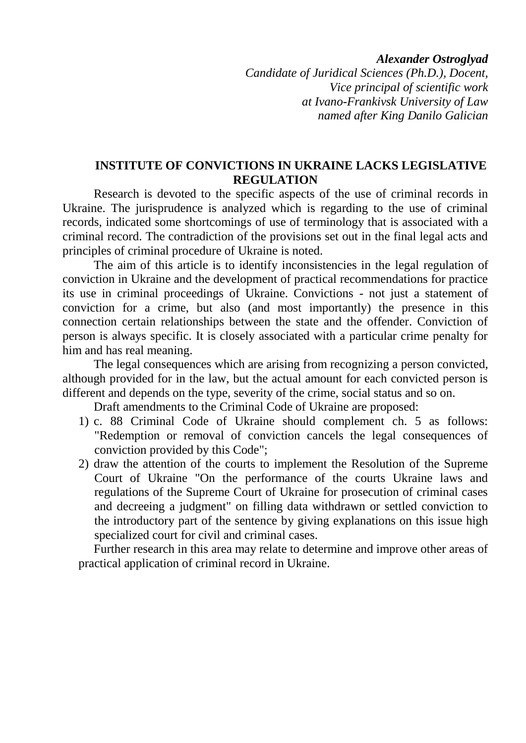#### *Alexander Ostroglyad*

*Candidate of Juridical Sciences (Ph.D.), Docent, Vice principal of scientific work at Ivano-Frankivsk University of Law named after King Danilo Galician*

## **INSTITUTE OF CONVICTIONS IN UKRAINE LACKS LEGISLATIVE REGULATION**

Research is devoted to the specific aspects of the use of criminal records in Ukraine. The jurisprudence is analyzed which is regarding to the use of criminal records, indicated some shortcomings of use of terminology that is associated with a criminal record. The contradiction of the provisions set out in the final legal acts and principles of criminal procedure of Ukraine is noted.

The aim of this article is to identify inconsistencies in the legal regulation of conviction in Ukraine and the development of practical recommendations for practice its use in criminal proceedings of Ukraine. Convictions - not just a statement of conviction for a crime, but also (and most importantly) the presence in this connection certain relationships between the state and the offender. Conviction of person is always specific. It is closely associated with a particular crime penalty for him and has real meaning.

The legal consequences which are arising from recognizing a person convicted, although provided for in the law, but the actual amount for each convicted person is different and depends on the type, severity of the crime, social status and so on.

Draft amendments to the Criminal Code of Ukraine are proposed:

- 1) c. 88 Criminal Code of Ukraine should complement ch. 5 as follows: "Redemption or removal of conviction cancels the legal consequences of conviction provided by this Code";
- 2) draw the attention of the courts to implement the Resolution of the Supreme Court of Ukraine "On the performance of the courts Ukraine laws and regulations of the Supreme Court of Ukraine for prosecution of criminal cases and decreeing a judgment" on filling data withdrawn or settled conviction to the introductory part of the sentence by giving explanations on this issue high specialized court for civil and criminal cases.

Further research in this area may relate to determine and improve other areas of practical application of criminal record in Ukraine.